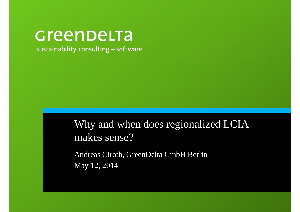# Greenbelta

sustainability consulting + software

Why and when does regionalized LCIA makes sense?

Andreas Ciroth, GreenDelta GmbH BerlinMay 12, 2014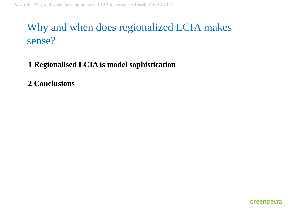## Why and when does regionalized LCIA makes sense?

#### **1 Regionalised LCIA is model sophistication**

**2 Conclusions**

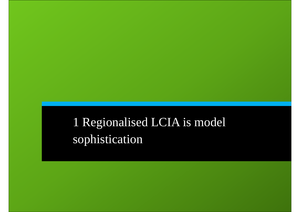# 1 Regionalised LCIA is model sophistication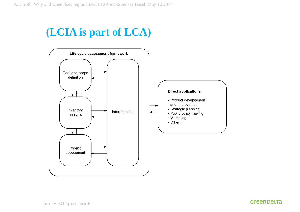#### **(LCIA is part of LCA)**

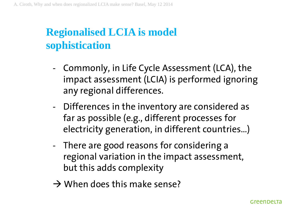## **Regionalised LCIA is model sophistication**

- - Commonly, in Life Cycle Assessment (LCA), the impact assessment (LCIA) is performed ignoring any regional differences.
- Differences in the inventory are considered as far as possible (e.g., different processes for electricity generation, in different countries…)
- There are good reasons for considering a regional variation in the impact assessment, but this adds complexity
- $\rightarrow$  When does this make sense?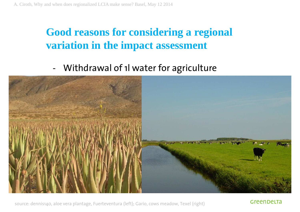#### **Good reasons for considering a regional variation in the impact assessment**

-Withdrawal of 1l water for agriculture



source: dennis140, aloe vera <sup>p</sup>lantage, Fuerteventura (left); Gario, cows meadow, Texel (right)

GreenbelTa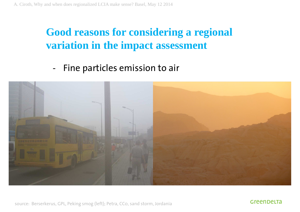#### **Good reasons for considering a regional variation in the impact assessment**

-Fine particles emission to air



source: Berserkerus, GPL, Peking smog (left); Petra, CCo, sand storm, Jordania

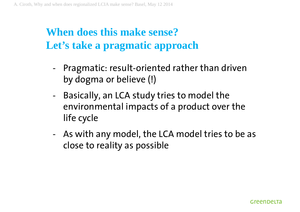- - Pragmatic: result-oriented rather than driven by dogma or believe (!)
- - Basically, an LCA study tries to model the environmental impacts of a product over the life cycle
- - As with any model, the LCA model tries to be as close to reality as possible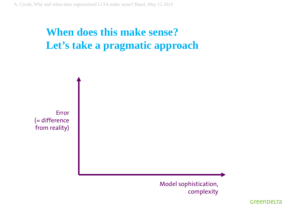

Model sophistication, complexity

Greenbelta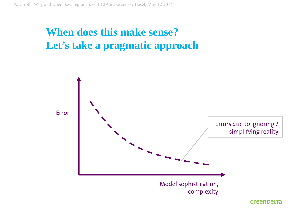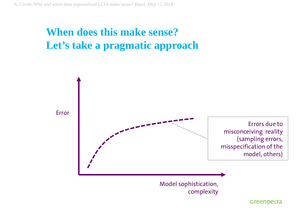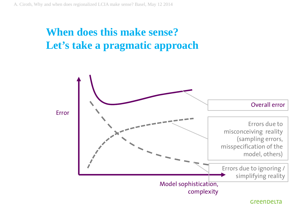

#### Greenbelta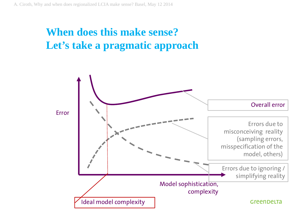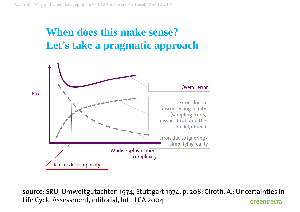

source: SRU, Umweltgutachten 1974, Stuttgart 1974, p. 208; Ciroth, A.: Uncertainties in Life Cycle Assessment, editorial, Int J LCA 2004Greenbelta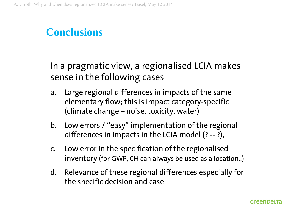In a pragmatic view, a regionalised LCIA makes sense in the following cases

- a. Large regional differences in impacts of the same elementary flow; this is impact category-specific (climate change – noise, toxicity, water)
- b. Low errors / "easy" implementation of the regional differences in impacts in the LCIA model (? -- ?),
- c. Low error in the specification of the regionalised inventory (for GWP, CH can always be used as a location..)
- d. Relevance of these regional differences especially for the specific decision and case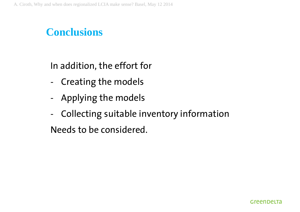In addition, the effort for

- -Creating the models
- -Applying the models
- -Collecting suitable inventory information

Needs to be considered.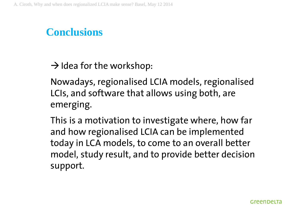$\rightarrow$  Idea for the workshop:

Nowadays, regionalised LCIA models, regionalised LCIs, and software that allows using both, are emerging.

This is a motivation to investigate where, how far and how regionalised LCIA can be implemented today in LCA models, to come to an overall better model, study result, and to provide better decisionsupport.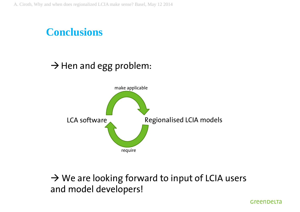

#### $\rightarrow$  Hen and egg problem:



 $\rightarrow$  We are looking forward to input of LCIA users<br>and model developers! and model developers!

Greenbelta